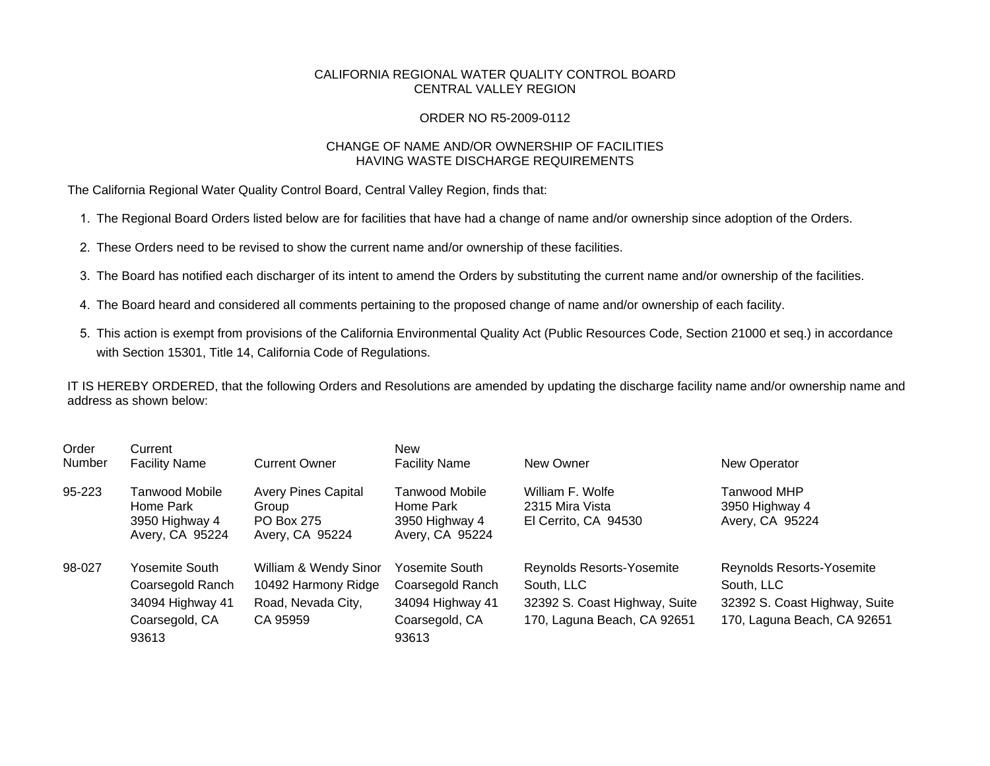## CALIFORNIA REGIONAL WATER QUALITY CONTROL BOARD CENTRAL VALLEY REGION

## ORDER NO R5-2009-0112

## CHANGE OF NAME AND/OR OWNERSHIP OF FACILITIES HAVING WASTE DISCHARGE REQUIREMENTS

The California Regional Water Quality Control Board, Central Valley Region, finds that:

- 1. The Regional Board Orders listed below are for facilities that have had a change of name and/or ownership since adoption of the Orders.
- 2. These Orders need to be revised to show the current name and/or ownership of these facilities.
- 3. The Board has notified each discharger of its intent to amend the Orders by substituting the current name and/or ownership of the facilities.
- 4. The Board heard and considered all comments pertaining to the proposed change of name and/or ownership of each facility.
- 5. This action is exempt from provisions of the California Environmental Quality Act (Public Resources Code, Section 21000 et seq.) in accordance with Section 15301, Title 14, California Code of Regulations.

IT IS HEREBY ORDERED, that the following Orders and Resolutions are amended by updating the discharge facility name and/or ownership name and address as shown below:

| Order<br>Number | Current<br><b>Facility Name</b>                                                   | <b>Current Owner</b>                                                           | <b>New</b><br><b>Facility Name</b>                                                | New Owner                                                                                               | New Operator                                                                                            |
|-----------------|-----------------------------------------------------------------------------------|--------------------------------------------------------------------------------|-----------------------------------------------------------------------------------|---------------------------------------------------------------------------------------------------------|---------------------------------------------------------------------------------------------------------|
| 95-223          | Tanwood Mobile<br>Home Park<br>3950 Highway 4<br>Avery, CA 95224                  | <b>Avery Pines Capital</b><br>Group<br><b>PO Box 275</b><br>Avery, CA 95224    | <b>Tanwood Mobile</b><br>Home Park<br>3950 Highway 4<br>Avery, CA 95224           | William F. Wolfe<br>2315 Mira Vista<br>El Cerrito, CA 94530                                             | Tanwood MHP<br>3950 Highway 4<br>Avery, CA 95224                                                        |
| 98-027          | Yosemite South<br>Coarsegold Ranch<br>34094 Highway 41<br>Coarsegold, CA<br>93613 | William & Wendy Sinor<br>10492 Harmony Ridge<br>Road, Nevada City,<br>CA 95959 | Yosemite South<br>Coarsegold Ranch<br>34094 Highway 41<br>Coarsegold, CA<br>93613 | Reynolds Resorts-Yosemite<br>South, LLC<br>32392 S. Coast Highway, Suite<br>170, Laguna Beach, CA 92651 | Reynolds Resorts-Yosemite<br>South, LLC<br>32392 S. Coast Highway, Suite<br>170, Laguna Beach, CA 92651 |